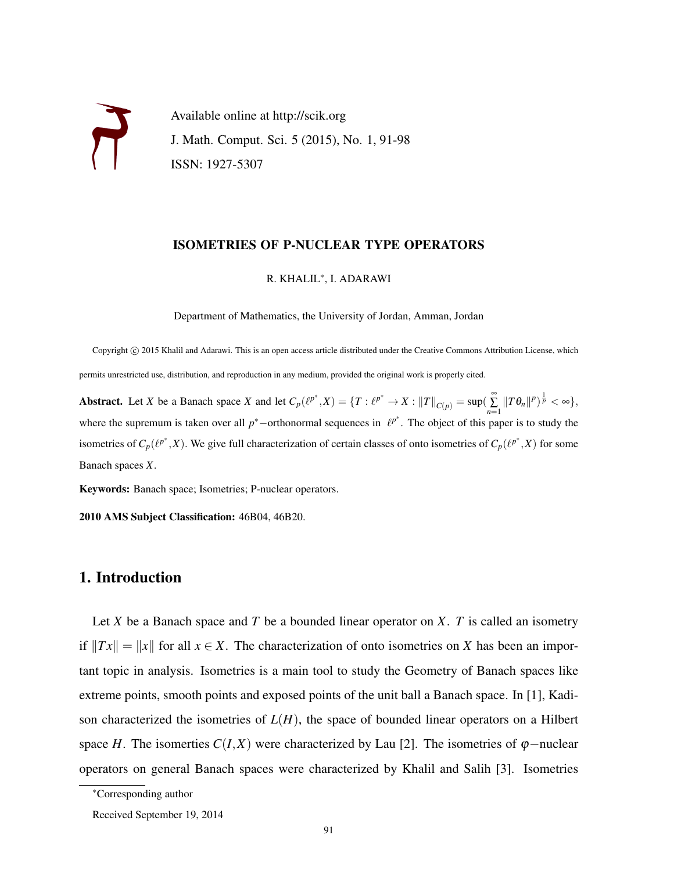Available online at http://scik.org J. Math. Comput. Sci. 5 (2015), No. 1, 91-98 ISSN: 1927-5307

# ISOMETRIES OF P-NUCLEAR TYPE OPERATORS

# R. KHALIL<sup>∗</sup> , I. ADARAWI

Department of Mathematics, the University of Jordan, Amman, Jordan

Copyright © 2015 Khalil and Adarawi. This is an open access article distributed under the Creative Commons Attribution License, which permits unrestricted use, distribution, and reproduction in any medium, provided the original work is properly cited.

**Abstract.** Let X be a Banach space X and let  $C_p(\ell^{p^*}, X) = \{T : \ell^{p^*} \to X : ||T||_{C(p)} = \sup(\sum_{n=1}^{\infty} ||T\theta_n||^p)^{\frac{1}{p}} < \infty\},\$ where the supremum is taken over all  $p^*$ -orthonormal sequences in  $\ell^{p^*}$ . The object of this paper is to study the isometries of  $C_p(\ell^{p^*}, X)$ . We give full characterization of certain classes of onto isometries of  $C_p(\ell^{p^*}, X)$  for some Banach spaces *X*.

Keywords: Banach space; Isometries; P-nuclear operators.

2010 AMS Subject Classification: 46B04, 46B20.

# 1. Introduction

Let *X* be a Banach space and *T* be a bounded linear operator on *X*. *T* is called an isometry if  $||Tx|| = ||x||$  for all  $x \in X$ . The characterization of onto isometries on *X* has been an important topic in analysis. Isometries is a main tool to study the Geometry of Banach spaces like extreme points, smooth points and exposed points of the unit ball a Banach space. In [1], Kadison characterized the isometries of  $L(H)$ , the space of bounded linear operators on a Hilbert space *H*. The isomerties  $C(I,X)$  were characterized by Lau [2]. The isometries of  $\varphi$ −nuclear operators on general Banach spaces were characterized by Khalil and Salih [3]. Isometries

<sup>∗</sup>Corresponding author

Received September 19, 2014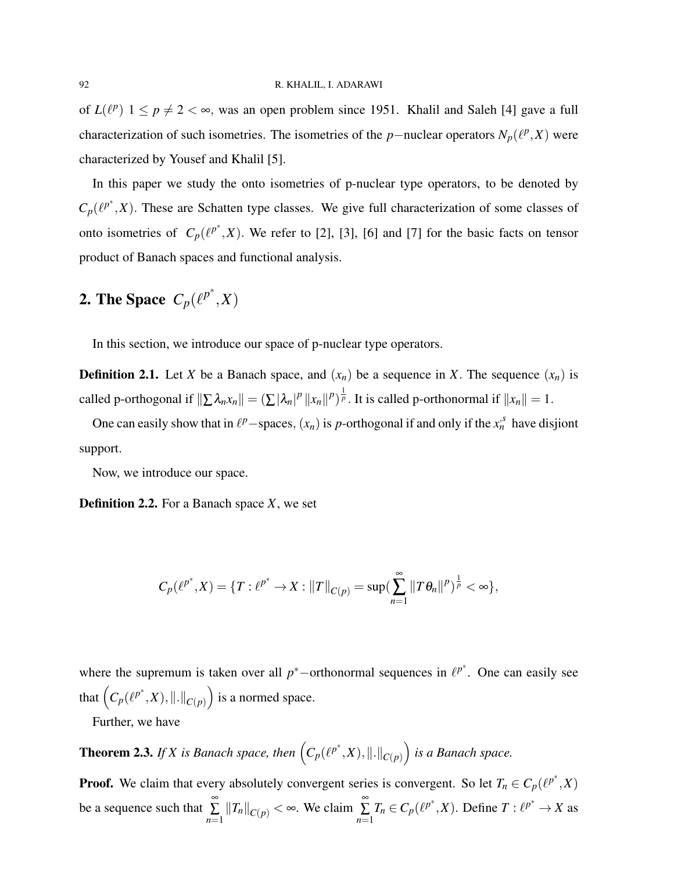of  $L(\ell^p)$   $1 \le p \ne 2 < \infty$ , was an open problem since 1951. Khalil and Saleh [4] gave a full characterization of such isometries. The isometries of the *p*-nuclear operators  $N_p(\ell^p, X)$  were characterized by Yousef and Khalil [5].

In this paper we study the onto isometries of p-nuclear type operators, to be denoted by  $C_p(\ell^{p^*}, X)$ . These are Schatten type classes. We give full characterization of some classes of onto isometries of  $C_p(\ell^{p^*}, X)$ . We refer to [2], [3], [6] and [7] for the basic facts on tensor product of Banach spaces and functional analysis.

# **2.** The Space  $C_p(\ell^{p^*}, X)$

In this section, we introduce our space of p-nuclear type operators.

**Definition 2.1.** Let *X* be a Banach space, and  $(x_n)$  be a sequence in *X*. The sequence  $(x_n)$  is called p-orthogonal if  $\|\sum \lambda_n x_n\| = (\sum |\lambda_n|^p \|x_n\|^p)^{\frac{1}{p}}$ . It is called p-orthonormal if  $\|x_n\| = 1$ .

One can easily show that in  $\ell^p$  –spaces,  $(x_n)$  is *p*-orthogonal if and only if the  $x_n^s$  have disjiont support.

Now, we introduce our space.

Definition 2.2. For a Banach space *X*, we set

$$
C_p(\ell^{p^*}, X) = \{T: \ell^{p^*} \to X: ||T||_{C(p)} = \sup(\sum_{n=1}^{\infty} ||T\theta_n||^p)^{\frac{1}{p}} < \infty\},\
$$

where the supremum is taken over all  $p^*$ -orthonormal sequences in  $\ell^{p^*}$ . One can easily see that  $(C_p(\ell^{p^*}, X), \|.\|_{C(p)})$  is a normed space.

Further, we have

**Theorem 2.3.** If X is Banach space, then  $\left(C_p(\ell^{p^*},X),\|.\|_{C(p)}\right)$  is a Banach space.

**Proof.** We claim that every absolutely convergent series is convergent. So let  $T_n \in C_p(\ell^{p^*}, X)$ be a sequence such that  $\sum_{n=1}^{\infty}$  $\sum_{n=1}^{\infty}$   $||T_n||_{C(p)} < \infty$ . We claim  $\sum_{n=1}^{\infty}$ ∑ *n*=1  $T_n \in C_p(\ell^{p^*}, X)$ . Define  $T: \ell^{p^*} \to X$  as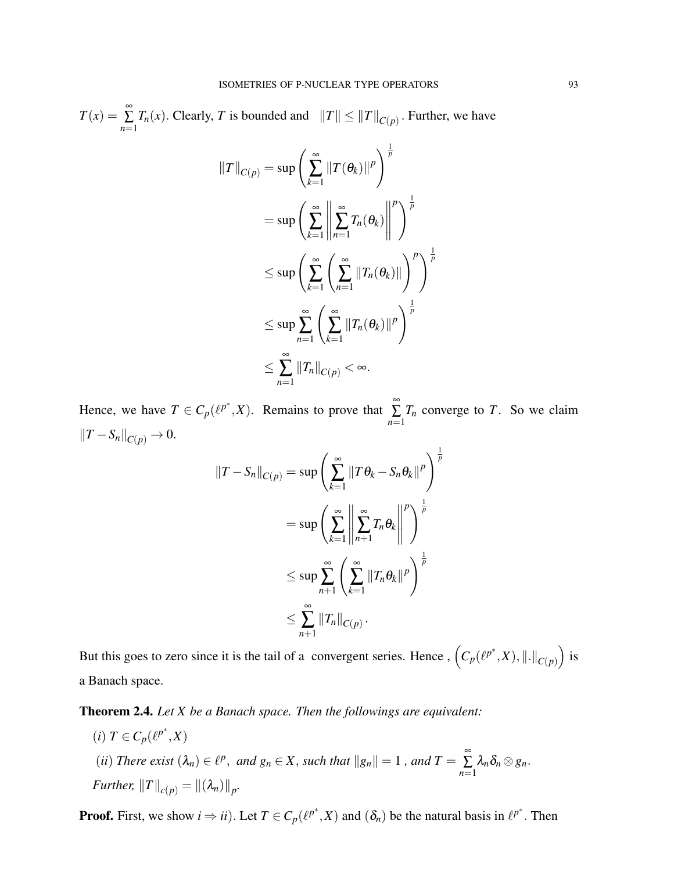$T(x) = \sum^{\infty}$  $\sum_{n=1}^{n} T_n(x)$ . Clearly, *T* is bounded and  $||T|| \le ||T||_{C(p)}$ . Further, we have

$$
\begin{aligned}\n||T||_{C(p)} &= \sup \left( \sum_{k=1}^{\infty} ||T(\theta_k)||^p \right)^{\frac{1}{p}} \\
&= \sup \left( \sum_{k=1}^{\infty} \left\| \sum_{n=1}^{\infty} T_n(\theta_k) \right\|^p \right)^{\frac{1}{p}} \\
&\leq \sup \left( \sum_{k=1}^{\infty} \left( \sum_{n=1}^{\infty} ||T_n(\theta_k)|| \right)^p \right)^{\frac{1}{p}} \\
&\leq \sup \sum_{n=1}^{\infty} \left( \sum_{k=1}^{\infty} ||T_n(\theta_k)||^p \right)^{\frac{1}{p}} \\
&\leq \sum_{n=1}^{\infty} ||T_n||_{C(p)} < \infty.\n\end{aligned}
$$

Hence, we have  $T \in C_p(\ell^{p^*}, X)$ . Remains to prove that  $\sum_{n=1}^{\infty}$ ∑ *n*=1 *T<sup>n</sup>* converge to *T*. So we claim  $||T - S_n||_{C(p)}$  → 0.

$$
\begin{aligned} \|T-S_n\|_{C(p)} &= \sup\left(\sum_{k=1}^{\infty} \|T\,\theta_k - S_n\,\theta_k\|^p\right)^{\frac{1}{p}} \\ &= \sup\left(\sum_{k=1}^{\infty} \left\|\sum_{n+1}^{\infty} T_n\,\theta_k\right\|^p\right)^{\frac{1}{p}} \\ &\leq \sup\sum_{n+1}^{\infty} \left(\sum_{k=1}^{\infty} \|T_n\,\theta_k\|^p\right)^{\frac{1}{p}} \\ &\leq \sum_{n+1}^{\infty} \|T_n\|_{C(p)} \, .\end{aligned}
$$

But this goes to zero since it is the tail of a convergent series. Hence ,  $(C_p(\ell^{p^*}, X), \|.\|_{C(p)})$  is a Banach space.

Theorem 2.4. *Let X be a Banach space. Then the followings are equivalent:*

 $(i)$   $T \in C_p(\ell^{p^*}, X)$ (*ii*) *There exist*  $(\lambda_n) \in \ell^p$ , and  $g_n \in X$ , such that  $||g_n|| = 1$ , and  $T = \sum_{n=1}^{\infty}$ ∑ *n*=1  $\lambda_n\delta_n\otimes g_n.$ *Further,*  $||T||_{c(p)} = ||(\lambda_n)||_p$ .

**Proof.** First, we show  $i \Rightarrow ii$ ). Let  $T \in C_p(\ell^{p^*}, X)$  and  $(\delta_n)$  be the natural basis in  $\ell^{p^*}$ . Then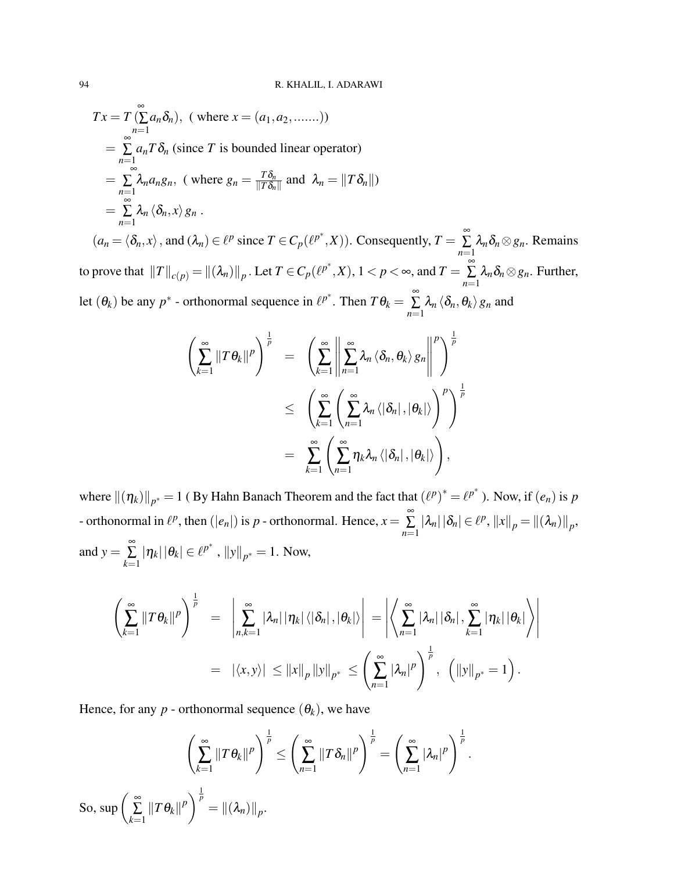$$
Tx = T\left(\sum_{n=1}^{\infty} a_n \delta_n\right), \text{ (where } x = (a_1, a_2, \dots \dots))
$$
  
\n
$$
= \sum_{n=1}^{\infty} a_n T \delta_n \text{ (since } T \text{ is bounded linear operator)}
$$
  
\n
$$
= \sum_{n=1}^{\infty} \lambda_n a_n g_n, \text{ (where } g_n = \frac{T \delta_n}{\|T \delta_n\|} \text{ and } \lambda_n = \|T \delta_n\|)
$$
  
\n
$$
= \sum_{n=1}^{\infty} \lambda_n \langle \delta_n, x \rangle g_n .
$$
  
\n
$$
(a_n = \langle \delta_n, x \rangle, \text{ and } (\lambda_n) \in \ell^p \text{ since } T \in C_p(\ell^{p^*}, X)). \text{ Consequently, } T = \sum_{n=1}^{\infty} \lambda_n \delta_n \otimes g_n. \text{ Remarks}
$$

to prove that  $\|T\|_{c(p)} = \|(\lambda_n)\|_p$ . Let  $T \in C_p(\ell^{p^*}, X)$ ,  $1 < p < \infty$ , and  $T = \sum_{n=1}^{\infty}$ ∑ *n*=1  $\lambda_n \delta_n \otimes g_n$ . Further, let  $(\theta_k)$  be any  $p^*$  - orthonormal sequence in  $\ell^{p^*}$ . Then  $T\theta_k = \sum_{k=1}^{\infty}$ ∑ *n*=1  $\lambda_n \left\langle \delta_n, \theta_k \right\rangle g_n$  and

$$
\left(\sum_{k=1}^{\infty}||T\theta_k||^p\right)^{\frac{1}{p}} = \left(\sum_{k=1}^{\infty}\left\|\sum_{n=1}^{\infty}\lambda_n\left\langle\delta_n,\theta_k\right\rangle g_n\right\|^p\right)^{\frac{1}{p}} \\
\leq \left(\sum_{k=1}^{\infty}\left(\sum_{n=1}^{\infty}\lambda_n\left\langle\left|\delta_n\right|,\left|\theta_k\right|\right\rangle\right)^p\right)^{\frac{1}{p}} \\
= \sum_{k=1}^{\infty}\left(\sum_{n=1}^{\infty}\eta_k\lambda_n\left\langle\left|\delta_n\right|,\left|\theta_k\right|\right\rangle\right),
$$

where  $\|(\eta_k)\|_{p^*} = 1$  (By Hahn Banach Theorem and the fact that  $(\ell^p)^* = \ell^{p^*}$ ). Now, if  $(e_n)$  is *p* - orthonormal in  $\ell^p$ , then ( $|e_n|$ ) is *p* - orthonormal. Hence,  $x = \sum_{n=1}^{\infty}$ ∑ *n*=1  $|\lambda_n| |\delta_n| \in \ell^p, \|x\|_p = \|(\lambda_n)\|_p,$ and  $y = \sum_{n=1}^{\infty}$ ∑ *k*=1  $|\eta_k| |\theta_k| \in {\ell^{p^*}}$ ,  $||y||_{p^*} = 1$ . Now,

$$
\left(\sum_{k=1}^{\infty}||T\theta_k||^p\right)^{\frac{1}{p}} = \left|\sum_{n,k=1}^{\infty}|\lambda_n|\,|\eta_k|\,\langle|\delta_n|,|\theta_k|\rangle\right| = \left|\left\langle\sum_{n=1}^{\infty}|\lambda_n|\,|\delta_n|,\sum_{k=1}^{\infty}|\eta_k|\,|\theta_k|\right\rangle\right|
$$

$$
= |\langle x,y\rangle| \leq ||x||_p\,||y||_{p^*} \leq \left(\sum_{n=1}^{\infty}|\lambda_n|^p\right)^{\frac{1}{p}}, \quad (||y||_{p^*} = 1).
$$

Hence, for any  $p$  - orthonormal sequence  $(\theta_k)$ , we have

$$
\left(\sum_{k=1}^{\infty}||T\theta_k||^p\right)^{\frac{1}{p}} \leq \left(\sum_{n=1}^{\infty}||T\delta_n||^p\right)^{\frac{1}{p}} = \left(\sum_{n=1}^{\infty}|\lambda_n|^p\right)^{\frac{1}{p}}.
$$
  
So,  $\sup\left(\sum_{k=1}^{\infty}||T\theta_k||^p\right)^{\frac{1}{p}} = ||(\lambda_n)||_p.$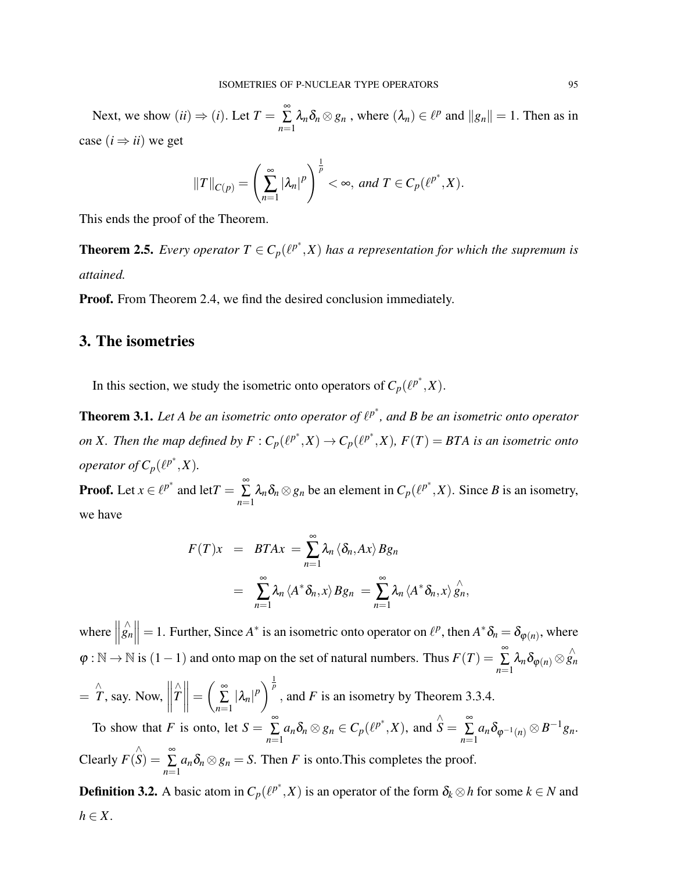Next, we show  $(ii) \Rightarrow (i)$ . Let  $T = \sum_{i=1}^{\infty}$ ∑ *n*=1  $\lambda_n \delta_n \otimes g_n$ , where  $(\lambda_n) \in \ell^p$  and  $||g_n|| = 1$ . Then as in case  $(i \Rightarrow ii)$  we get

$$
||T||_{C(p)} = \left(\sum_{n=1}^{\infty} |\lambda_n|^p\right)^{\frac{1}{p}} < \infty, \text{ and } T \in C_p(\ell^{p^*}, X).
$$

This ends the proof of the Theorem.

**Theorem 2.5.** *Every operator*  $T \in C_p(\ell^{p^*}, X)$  *has a representation for which the supremum is attained.*

**Proof.** From Theorem 2.4, we find the desired conclusion immediately.

# 3. The isometries

In this section, we study the isometric onto operators of  $C_p(\ell^{p^*}, X)$ .

**Theorem 3.1.** Let A be an isometric onto operator of  $\ell^{p^*}$ , and B be an isometric onto operator *on* X. Then the map defined by  $F: C_p(\ell^{p^*}, X) \to C_p(\ell^{p^*}, X)$ ,  $F(T) = BTA$  is an isometric onto *operator of*  $C_p(\ell^{p^*}, X)$ *.* 

**Proof.** Let  $x \in \ell^{p^*}$  and let  $T = \sum_{n=1}^{\infty}$ ∑ *n*=1  $\lambda_n \delta_n \otimes g_n$  be an element in  $C_p(\ell^{p^*}, X)$ . Since *B* is an isometry, we have

$$
F(T)x = BTAx = \sum_{n=1}^{\infty} \lambda_n \langle \delta_n, Ax \rangle Bg_n
$$
  
= 
$$
\sum_{n=1}^{\infty} \lambda_n \langle A^* \delta_n, x \rangle Bg_n = \sum_{n=1}^{\infty} \lambda_n \langle A^* \delta_n, x \rangle \hat{g}_n,
$$

where  $\parallel$  $\left\| \hat{g}_n \right\| = 1$ . Further, Since *A*<sup>\*</sup> is an isometric onto operator on  $\ell^p$ , then  $A^* \delta_n = \delta_{\varphi(n)}$ , where  $\varphi : \mathbb{N} \to \mathbb{N}$  is  $(1-1)$  and onto map on the set of natural numbers. Thus  $F(T) = \sum_{n=1}^{\infty}$  $\sum_{n=1}^{\infty} \lambda_n \delta_{\boldsymbol{\varphi}(n)} \otimes \hat{g_n}$  $=\hat{T}$ , say. Now,  $\begin{array}{c} \begin{array}{c} \begin{array}{c} \begin{array}{c} \end{array}\\ \end{array} \end{array} \end{array} \end{array}$ ∧ *T*  $\parallel$  =  $\frac{∞}{5}$ ∑ *n*=1  $|\lambda_n|^p$   $\Big)^{\frac{1}{p}}$ , and *F* is an isometry by Theorem 3.3.4. To show that *F* is onto, let  $S = \sum_{n=1}^{\infty}$ ∑ *n*=1  $a_n \delta_n \otimes g_n \in C_p(\ell^{p^*}, X)$ , and ∧  $\stackrel{\wedge }{S}=\stackrel{\infty }{\Sigma }$  $\sum_{n=1}^{\infty} a_n \delta_{\varphi^{-1}(n)} \otimes B^{-1}g_n.$ Clearly *F*( ∧  $\overset{\wedge}{S}) = \stackrel{\infty}{\Sigma}$ ∑ *n*=1  $a_n \delta_n \otimes g_n = S$ . Then *F* is onto.This completes the proof.

**Definition 3.2.** A basic atom in  $C_p(\ell^{p^*}, X)$  is an operator of the form  $\delta_k \otimes h$  for some  $k \in N$  and  $h \in X$ .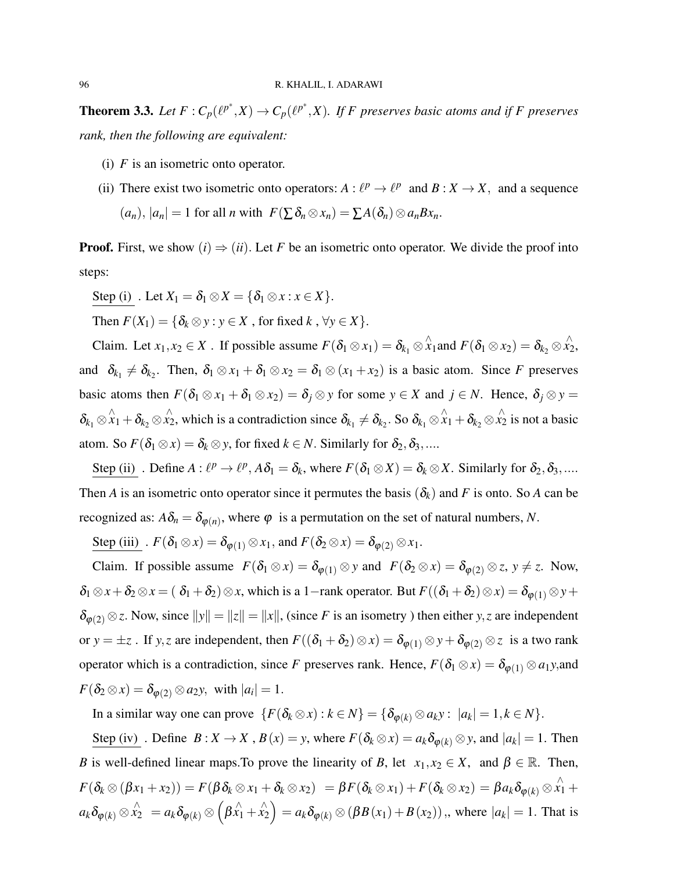**Theorem 3.3.** Let  $F: C_p(\ell^{p^*}, X) \to C_p(\ell^{p^*}, X)$ . If F preserves basic atoms and if F preserves *rank, then the following are equivalent:*

- (i) *F* is an isometric onto operator.
- (ii) There exist two isometric onto operators:  $A : \ell^p \to \ell^p$  and  $B : X \to X$ , and a sequence  $(a_n)$ ,  $|a_n| = 1$  for all *n* with  $F(\sum \delta_n \otimes x_n) = \sum A(\delta_n) \otimes a_n B x_n$ .

**Proof.** First, we show  $(i) \Rightarrow (ii)$ . Let F be an isometric onto operator. We divide the proof into steps:

Step (i) . Let  $X_1 = \delta_1 \otimes X = \{\delta_1 \otimes x : x \in X\}.$ 

Then  $F(X_1) = \{\delta_k \otimes y : y \in X \text{, for fixed } k, \forall y \in X\}.$ 

Claim. Let  $x_1, x_2 \in X$ . If possible assume  $F(\delta_1 \otimes x_1) = \delta_{k_1} \otimes \hat{x}_1$  and  $F(\delta_1 \otimes x_2) = \delta_{k_2} \otimes \hat{x}_2$ , and  $\delta_{k_1} \neq \delta_{k_2}$ . Then,  $\delta_1 \otimes x_1 + \delta_1 \otimes x_2 = \delta_1 \otimes (x_1 + x_2)$  is a basic atom. Since *F* preserves basic atoms then  $F(\delta_1 \otimes x_1 + \delta_1 \otimes x_2) = \delta_j \otimes y$  for some  $y \in X$  and  $j \in N$ . Hence,  $\delta_j \otimes y =$  $\delta_{k_1} \otimes \hat{x}_1 + \delta_{k_2} \otimes \hat{x}_2$ , which is a contradiction since  $\delta_{k_1} \neq \delta_{k_2}$ . So  $\delta_{k_1} \otimes \hat{x}_1 + \delta_{k_2} \otimes \hat{x}_2$  is not a basic atom. So  $F(\delta_1 \otimes x) = \delta_k \otimes y$ , for fixed  $k \in N$ . Similarly for  $\delta_2, \delta_3, \dots$ 

Step (ii) . Define  $A: \ell^p \to \ell^p$ ,  $A\delta_1 = \delta_k$ , where  $F(\delta_1 \otimes X) = \delta_k \otimes X$ . Similarly for  $\delta_2, \delta_3, \dots$ Then *A* is an isometric onto operator since it permutes the basis  $(\delta_k)$  and *F* is onto. So *A* can be recognized as:  $A\delta_n = \delta_{\varphi(n)}$ , where  $\varphi$  is a permutation on the set of natural numbers, *N*.

Step (iii)  $F(\delta_1 \otimes x) = \delta_{\varphi(1)} \otimes x_1$ , and  $F(\delta_2 \otimes x) = \delta_{\varphi(2)} \otimes x_1$ .

Claim. If possible assume  $F(\delta_1 \otimes x) = \delta_{\varphi(1)} \otimes y$  and  $F(\delta_2 \otimes x) = \delta_{\varphi(2)} \otimes z$ ,  $y \neq z$ . Now,  $\delta_1 \otimes x + \delta_2 \otimes x = (\delta_1 + \delta_2) \otimes x$ , which is a 1-rank operator. But  $F((\delta_1 + \delta_2) \otimes x) = \delta_{\varphi(1)} \otimes y +$  $\delta_{\varphi(2)} \otimes z$ . Now, since  $||y|| = ||z|| = ||x||$ , (since *F* is an isometry ) then either *y*,*z* are independent or  $y = \pm z$ . If *y*,*z* are independent, then  $F((\delta_1 + \delta_2) \otimes x) = \delta_{\varphi(1)} \otimes y + \delta_{\varphi(2)} \otimes z$  is a two rank operator which is a contradiction, since *F* preserves rank. Hence,  $F(\delta_1 \otimes x) = \delta_{\varphi(1)} \otimes a_1 y$ , and  $F(\delta_2 \otimes x) = \delta_{\varphi(2)} \otimes a_2 y$ , with  $|a_i| = 1$ .

In a similar way one can prove  $\{F(\delta_k \otimes x) : k \in N\} = \{\delta_{\varphi(k)} \otimes a_k y : |a_k| = 1, k \in N\}.$ 

Step (iv) . Define  $B: X \to X$ ,  $B(x) = y$ , where  $F(\delta_k \otimes x) = a_k \delta_{\phi(k)} \otimes y$ , and  $|a_k| = 1$ . Then *B* is well-defined linear maps. To prove the linearity of *B*, let  $x_1, x_2 \in X$ , and  $\beta \in \mathbb{R}$ . Then,  $F(\delta_k \otimes (\beta x_1 + x_2)) = F(\beta \delta_k \otimes x_1 + \delta_k \otimes x_2) = \beta F(\delta_k \otimes x_1) + F(\delta_k \otimes x_2) = \beta a_k \delta_{\phi(k)} \otimes \hat{x_1} + \hat{x_2}$  $a_k \delta_{\varphi(k)} \otimes x_2^{\wedge} = a_k \delta_{\varphi(k)} \otimes (\beta x_1 + x_2^{\wedge}) = a_k \delta_{\varphi(k)} \otimes (\beta B(x_1) + B(x_2)),$ , where  $|a_k| = 1$ . That is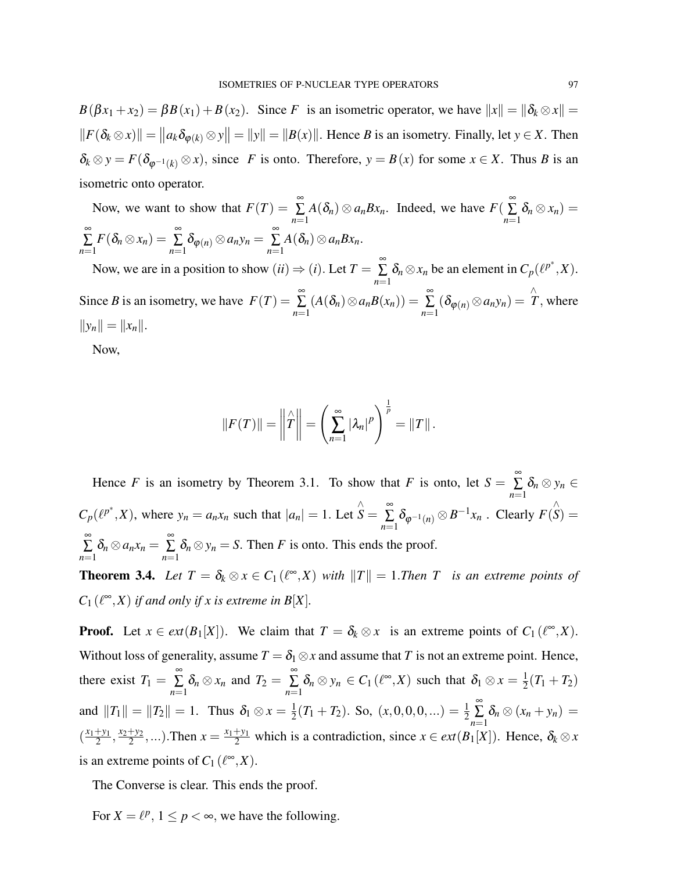$B(\beta x_1 + x_2) = \beta B(x_1) + B(x_2)$ . Since *F* is an isometric operator, we have  $||x|| = ||\delta_k \otimes x|| =$  $||F(\delta_k \otimes x)|| = ||a_k \delta_{\varphi(k)} \otimes y|| = ||y|| = ||B(x)||$ . Hence *B* is an isometry. Finally, let  $y \in X$ . Then  $\delta_k \otimes y = F(\delta_{\varphi^{-1}(k)} \otimes x)$ , since *F* is onto. Therefore,  $y = B(x)$  for some  $x \in X$ . Thus *B* is an isometric onto operator.

Now, we want to show that  $F(T) = \sum_{n=1}^{\infty}$ ∑ *n*=1  $A(\delta_n) \otimes a_n B x_n$ . Indeed, we have  $F(\sum_{n=1}^{\infty}$ ∑ *n*=1  $\delta_n \otimes x_n) =$ ∞ ∑ *n*=1  $F(\delta_n \otimes x_n) = \sum_{n=0}^{\infty}$  $\sum_{n=1}^{\infty} \delta_{\varphi(n)} \otimes a_n y_n = \sum_{n=1}^{\infty}$ ∑ *n*=1  $A(\delta_n)\otimes a_n Bx_n$ .

Now, we are in a position to show  $(ii) \Rightarrow (i)$ . Let  $T = \sum_{i=1}^{\infty}$ ∑ *n*=1  $\delta_n \otimes x_n$  be an element in  $C_p(\ell^{p^*}, X)$ . Since *B* is an isometry, we have  $F(T) = \sum_{n=1}^{\infty}$ ∑ *n*=1  $(A(\delta_n) \otimes a_n B(x_n)) = \sum_{n=1}^{\infty}$  $\sum_{n=1}^{\infty} (\delta_{\varphi(n)} \otimes a_n y_n) = \hat{T}$ , where  $||y_n|| = ||x_n||.$ 

Now,

$$
||F(T)|| = ||\hat{T}|| = \left(\sum_{n=1}^{\infty} |\lambda_n|^p\right)^{\frac{1}{p}} = ||T||.
$$

Hence *F* is an isometry by Theorem 3.1. To show that *F* is onto, let  $S = \sum_{n=1}^{\infty}$ ∑ *n*=1  $\delta_n \otimes y_n \in$  $C_p(\ell^{p^*}, X)$ , where  $y_n = a_n x_n$  such that  $|a_n| = 1$ . Let ∧  $\stackrel{\wedge }{S}=\stackrel{\infty }{\Sigma }$  $\sum_{n=1}^{\infty} \delta_{\varphi^{-1}(n)} \otimes B^{-1}x_n$ . Clearly  $F(x)$ ∧  $S) =$ ∞ ∑ *n*=1  $\delta_n \otimes a_n x_n = \sum_{n=0}^{\infty}$ ∑ *n*=1  $\delta_n \otimes y_n = S$ . Then *F* is onto. This ends the proof.

**Theorem 3.4.** Let  $T = \delta_k \otimes x \in C_1(\ell^{\infty}, X)$  with  $||T|| = 1$ . Then T is an extreme points of  $C_1(\ell^{\infty}, X)$  *if and only if x is extreme in B*[*X*].

**Proof.** Let  $x \in ext(B_1[X])$ . We claim that  $T = \delta_k \otimes x$  is an extreme points of  $C_1(\ell^{\infty}, X)$ . Without loss of generality, assume  $T = \delta_1 \otimes x$  and assume that *T* is not an extreme point. Hence, there exist  $T_1 = \sum_{n=1}^{\infty}$ ∑ *n*=1  $\delta_n \otimes x_n$  and  $T_2 = \sum_{n=1}^{\infty}$ ∑ *n*=1  $\delta_n \otimes y_n \in C_1(\ell^{\infty}, X)$  such that  $\delta_1 \otimes x = \frac{1}{2}$  $\frac{1}{2}(T_1 + T_2)$ and  $||T_1|| = ||T_2|| = 1$ . Thus  $\delta_1 \otimes x = \frac{1}{2}$  $\frac{1}{2}(T_1 + T_2)$ . So,  $(x, 0, 0, 0, ...) = \frac{1}{2}$ ∞ ∑ *n*=1  $\delta_n \otimes (x_n + y_n) =$  $\left(\frac{x_1+y_1}{2}\right)$  $\frac{y_1}{2}, \frac{x_2+y_2}{2}$  $\frac{y+y_2}{2}$ ,...). Then  $x = \frac{x_1+y_1}{2}$  which is a contradiction, since  $x \in ext(B_1[X])$ . Hence,  $\delta_k \otimes x$ is an extreme points of  $C_1(\ell^{\infty}, X)$ .

The Converse is clear. This ends the proof.

For  $X = \ell^p$ ,  $1 \le p < \infty$ , we have the following.